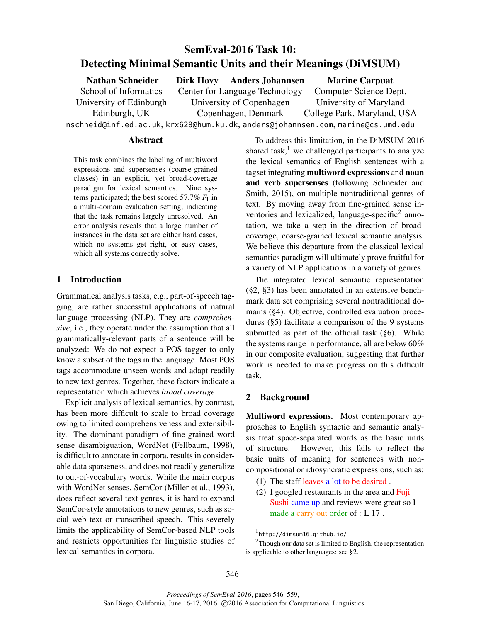# SemEval-2016 Task 10: Detecting Minimal Semantic Units and their Meanings (DiMSUM)

| <b>Nathan Schneider</b>                                                       |  | Dirk Hovy Anders Johannsen     | <b>Marine Carpuat</b>       |  |  |
|-------------------------------------------------------------------------------|--|--------------------------------|-----------------------------|--|--|
| School of Informatics                                                         |  | Center for Language Technology | Computer Science Dept.      |  |  |
| University of Edinburgh                                                       |  | University of Copenhagen       | University of Maryland      |  |  |
| Edinburgh, UK                                                                 |  | Copenhagen, Denmark            | College Park, Maryland, USA |  |  |
| nschneid@inf.ed.ac.uk,krx628@hum.ku.dk,anders@johannsen.com,marine@cs.umd.edu |  |                                |                             |  |  |

## Abstract

This task combines the labeling of multiword expressions and supersenses (coarse-grained classes) in an explicit, yet broad-coverage paradigm for lexical semantics. Nine systems participated; the best scored  $57.7\%$   $F_1$  in a multi-domain evaluation setting, indicating that the task remains largely unresolved. An error analysis reveals that a large number of instances in the data set are either hard cases, which no systems get right, or easy cases, which all systems correctly solve.

# 1 Introduction

Grammatical analysis tasks, e.g., part-of-speech tagging, are rather successful applications of natural language processing (NLP). They are *comprehensive*, i.e., they operate under the assumption that all grammatically-relevant parts of a sentence will be analyzed: We do not expect a POS tagger to only know a subset of the tags in the language. Most POS tags accommodate unseen words and adapt readily to new text genres. Together, these factors indicate a representation which achieves *broad coverage*.

Explicit analysis of lexical semantics, by contrast, has been more difficult to scale to broad coverage owing to limited comprehensiveness and extensibility. The dominant paradigm of fine-grained word sense disambiguation, WordNet (Fellbaum, 1998), is difficult to annotate in corpora, results in considerable data sparseness, and does not readily generalize to out-of-vocabulary words. While the main corpus with WordNet senses, SemCor (Miller et al., 1993), does reflect several text genres, it is hard to expand SemCor-style annotations to new genres, such as social web text or transcribed speech. This severely limits the applicability of SemCor-based NLP tools and restricts opportunities for linguistic studies of lexical semantics in corpora.

To address this limitation, in the DiMSUM 2016 shared task, $<sup>1</sup>$  we challenged participants to analyze</sup> the lexical semantics of English sentences with a tagset integrating multiword expressions and noun and verb supersenses (following Schneider and Smith, 2015), on multiple nontraditional genres of text. By moving away from fine-grained sense inventories and lexicalized, language-specific<sup>2</sup> annotation, we take a step in the direction of broadcoverage, coarse-grained lexical semantic analysis. We believe this departure from the classical lexical semantics paradigm will ultimately prove fruitful for a variety of NLP applications in a variety of genres.

The integrated lexical semantic representation (§2, §3) has been annotated in an extensive benchmark data set comprising several nontraditional domains (§4). Objective, controlled evaluation procedures (§5) facilitate a comparison of the 9 systems submitted as part of the official task (§6). While the systems range in performance, all are below 60% in our composite evaluation, suggesting that further work is needed to make progress on this difficult task.

# 2 Background

Multiword expressions. Most contemporary approaches to English syntactic and semantic analysis treat space-separated words as the basic units of structure. However, this fails to reflect the basic units of meaning for sentences with noncompositional or idiosyncratic expressions, such as:

- (1) The staff leaves a lot to be desired .
- (2) I googled restaurants in the area and Fuji Sushi came up and reviews were great so I made a carry out order of : L 17 .

<sup>1</sup> http://dimsum16.github.io/

 $2$ Though our data set is limited to English, the representation is applicable to other languages: see §2.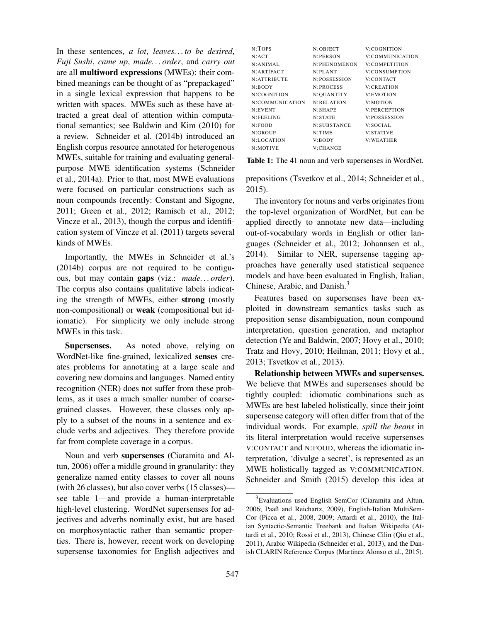In these sentences, *a lot*, *leaves. . . to be desired*, *Fuji Sushi*, *came up*, *made. . . order*, and *carry out* are all multiword expressions (MWEs): their combined meanings can be thought of as "prepackaged" in a single lexical expression that happens to be written with spaces. MWEs such as these have attracted a great deal of attention within computational semantics; see Baldwin and Kim (2010) for a review. Schneider et al. (2014b) introduced an English corpus resource annotated for heterogenous MWEs, suitable for training and evaluating generalpurpose MWE identification systems (Schneider et al., 2014a). Prior to that, most MWE evaluations were focused on particular constructions such as noun compounds (recently: Constant and Sigogne, 2011; Green et al., 2012; Ramisch et al., 2012; Vincze et al., 2013), though the corpus and identification system of Vincze et al. (2011) targets several kinds of MWEs.

Importantly, the MWEs in Schneider et al.'s (2014b) corpus are not required to be contiguous, but may contain gaps (viz.: *made. . . order*). The corpus also contains qualitative labels indicating the strength of MWEs, either strong (mostly non-compositional) or weak (compositional but idiomatic). For simplicity we only include strong MWEs in this task.

Supersenses. As noted above, relying on WordNet-like fine-grained, lexicalized senses creates problems for annotating at a large scale and covering new domains and languages. Named entity recognition (NER) does not suffer from these problems, as it uses a much smaller number of coarsegrained classes. However, these classes only apply to a subset of the nouns in a sentence and exclude verbs and adjectives. They therefore provide far from complete coverage in a corpus.

Noun and verb supersenses (Ciaramita and Altun, 2006) offer a middle ground in granularity: they generalize named entity classes to cover all nouns (with 26 classes), but also cover verbs (15 classes) see table 1—and provide a human-interpretable high-level clustering. WordNet supersenses for adjectives and adverbs nominally exist, but are based on morphosyntactic rather than semantic properties. There is, however, recent work on developing supersense taxonomies for English adjectives and

| $N$ :TOPS       | N:OBJECT         | V:COGNITION         |
|-----------------|------------------|---------------------|
| N:ACT           | N:PERSON         | V:COMMUNICATION     |
| N: ANIMAL       | N:PHENOMENON     | V:COMPETITION       |
| N: ARTIFACT     | N:PI, ANT        | V:CONSUMPTION       |
| N: ATTRIBUTE    | N:POSSESSION     | V:CONTACT           |
| N:BODY          | <b>N:PROCESS</b> | V:CREATION          |
| N:COGNITION     | N: QUANTITY      | <b>V:EMOTION</b>    |
| N:COMMUNICATION | N:RELATION       | <b>V:MOTION</b>     |
| N:EVENT         | N:SHAPE          | <b>V:PERCEPTION</b> |
| N:FEELING       | N:STATE          | <b>V:POSSESSION</b> |
| N:FOOD          | N:SUBSTANCE      | V:SOCIAL            |
| N:GROUP         | $N$ : TIME       | <b>V:STATIVE</b>    |
| N:LOCATION      | V:BODY           | <b>V:WEATHER</b>    |
| N:MOTIVE        | V:CHANGE         |                     |

Table 1: The 41 noun and verb supersenses in WordNet.

prepositions (Tsvetkov et al., 2014; Schneider et al., 2015).

The inventory for nouns and verbs originates from the top-level organization of WordNet, but can be applied directly to annotate new data—including out-of-vocabulary words in English or other languages (Schneider et al., 2012; Johannsen et al., 2014). Similar to NER, supersense tagging approaches have generally used statistical sequence models and have been evaluated in English, Italian, Chinese, Arabic, and Danish.<sup>3</sup>

Features based on supersenses have been exploited in downstream semantics tasks such as preposition sense disambiguation, noun compound interpretation, question generation, and metaphor detection (Ye and Baldwin, 2007; Hovy et al., 2010; Tratz and Hovy, 2010; Heilman, 2011; Hovy et al., 2013; Tsvetkov et al., 2013).

Relationship between MWEs and supersenses. We believe that MWEs and supersenses should be tightly coupled: idiomatic combinations such as MWEs are best labeled holistically, since their joint supersense category will often differ from that of the individual words. For example, *spill the beans* in its literal interpretation would receive supersenses V:CONTACT and N:FOOD, whereas the idiomatic interpretation, 'divulge a secret', is represented as an MWE holistically tagged as V:COMMUNICATION. Schneider and Smith (2015) develop this idea at

<sup>&</sup>lt;sup>3</sup>Evaluations used English SemCor (Ciaramita and Altun, 2006; Paaß and Reichartz, 2009), English-Italian MultiSem-Cor (Picca et al., 2008, 2009; Attardi et al., 2010), the Italian Syntactic-Semantic Treebank and Italian Wikipedia (Attardi et al., 2010; Rossi et al., 2013), Chinese Cilin (Qiu et al., 2011), Arabic Wikipedia (Schneider et al., 2013), and the Danish CLARIN Reference Corpus (Martínez Alonso et al., 2015).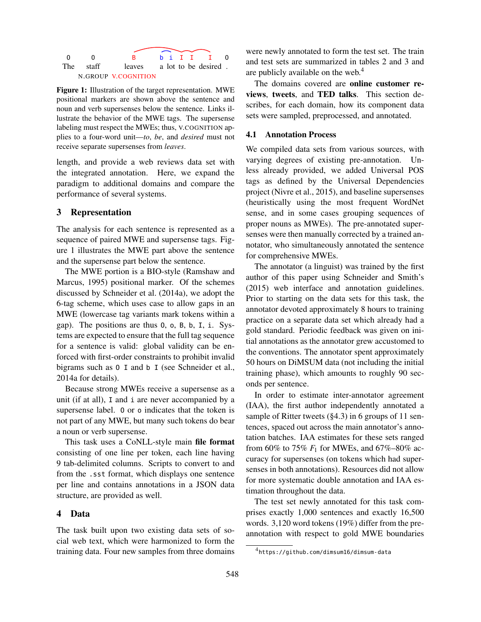

Figure 1: Illustration of the target representation. MWE positional markers are shown above the sentence and noun and verb supersenses below the sentence. Links illustrate the behavior of the MWE tags. The supersense labeling must respect the MWEs; thus, V.COGNITION applies to a four-word unit—*to*, *be*, and *desired* must not receive separate supersenses from *leaves*.

length, and provide a web reviews data set with the integrated annotation. Here, we expand the paradigm to additional domains and compare the performance of several systems.

#### 3 Representation

The analysis for each sentence is represented as a sequence of paired MWE and supersense tags. Figure 1 illustrates the MWE part above the sentence and the supersense part below the sentence.

The MWE portion is a BIO-style (Ramshaw and Marcus, 1995) positional marker. Of the schemes discussed by Schneider et al. (2014a), we adopt the 6-tag scheme, which uses case to allow gaps in an MWE (lowercase tag variants mark tokens within a gap). The positions are thus O, o, B, b, I, i. Systems are expected to ensure that the full tag sequence for a sentence is valid: global validity can be enforced with first-order constraints to prohibit invalid bigrams such as O I and b I (see Schneider et al., 2014a for details).

Because strong MWEs receive a supersense as a unit (if at all), I and i are never accompanied by a supersense label. O or o indicates that the token is not part of any MWE, but many such tokens do bear a noun or verb supersense.

This task uses a CoNLL-style main file format consisting of one line per token, each line having 9 tab-delimited columns. Scripts to convert to and from the .sst format, which displays one sentence per line and contains annotations in a JSON data structure, are provided as well.

#### 4 Data

The task built upon two existing data sets of social web text, which were harmonized to form the training data. Four new samples from three domains were newly annotated to form the test set. The train and test sets are summarized in tables 2 and 3 and are publicly available on the web.<sup>4</sup>

The domains covered are online customer reviews, tweets, and TED talks. This section describes, for each domain, how its component data sets were sampled, preprocessed, and annotated.

#### 4.1 Annotation Process

We compiled data sets from various sources, with varying degrees of existing pre-annotation. Unless already provided, we added Universal POS tags as defined by the Universal Dependencies project (Nivre et al., 2015), and baseline supersenses (heuristically using the most frequent WordNet sense, and in some cases grouping sequences of proper nouns as MWEs). The pre-annotated supersenses were then manually corrected by a trained annotator, who simultaneously annotated the sentence for comprehensive MWEs.

The annotator (a linguist) was trained by the first author of this paper using Schneider and Smith's (2015) web interface and annotation guidelines. Prior to starting on the data sets for this task, the annotator devoted approximately 8 hours to training practice on a separate data set which already had a gold standard. Periodic feedback was given on initial annotations as the annotator grew accustomed to the conventions. The annotator spent approximately 50 hours on DiMSUM data (not including the initial training phase), which amounts to roughly 90 seconds per sentence.

In order to estimate inter-annotator agreement (IAA), the first author independently annotated a sample of Ritter tweets (§4.3) in 6 groups of 11 sentences, spaced out across the main annotator's annotation batches. IAA estimates for these sets ranged from 60% to 75%  $F_1$  for MWEs, and 67%–80% accuracy for supersenses (on tokens which had supersenses in both annotations). Resources did not allow for more systematic double annotation and IAA estimation throughout the data.

The test set newly annotated for this task comprises exactly 1,000 sentences and exactly 16,500 words. 3,120 word tokens (19%) differ from the preannotation with respect to gold MWE boundaries

<sup>4</sup> https://github.com/dimsum16/dimsum-data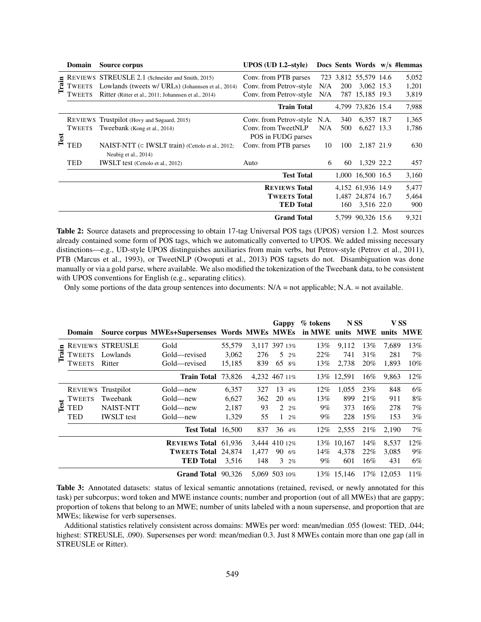|       | <b>Domain</b>  | Source corpus                                                                                     | $UPOS$ (UD 1.2-style)                     |      |            |                       | Docs Sents Words w/s #lemmas |
|-------|----------------|---------------------------------------------------------------------------------------------------|-------------------------------------------|------|------------|-----------------------|------------------------------|
|       | <b>REVIEWS</b> | STREUSLE 2.1 (Schneider and Smith, 2015)                                                          | Conv. from PTB parses                     |      |            | 723 3,812 55,579 14.6 | 5,052                        |
| Train | TWEETS         | Lowlands (tweets w/ URLs) (Johannsen et al., 2014)                                                | Conv. from Petrov-style                   | N/A  | <b>200</b> | 3,062 15.3            | 1,201                        |
|       | <b>WEETS</b>   | Ritter (Ritter et al., 2011; Johannsen et al., 2014)                                              | Conv. from Petrov-style                   | N/A  |            | 787 15,185 19.3       | 3,819                        |
|       |                |                                                                                                   | <b>Train Total</b>                        |      |            | 4,799 73,826 15.4     | 7,988                        |
|       |                | REVIEWS Trustpilot (Hovy and Søgaard, 2015)                                                       | Conv. from Petrov-style                   | N.A. | 340        | 6,357 18.7            | 1,365                        |
| Test  | <b>TWEETS</b>  | Tweebank (Kong et al., 2014)                                                                      | Conv. from TweetNLP<br>POS in FUDG parses | N/A  | 500        | 6,627 13.3            | 1,786                        |
|       | TED            | NAIST-NTT (c IWSLT train) (Cettolo et al., 2012;<br>Conv. from PTB parses<br>Neubig et al., 2014) |                                           | 10   | 100        | 2,187 21.9            | 630                          |
|       | TED            | <b>IWSLT</b> test (Cettolo et al., 2012)                                                          | Auto                                      | 6    | 60         | 1,329 22.2            | 457                          |
|       |                |                                                                                                   | <b>Test Total</b>                         |      |            | 1.000 16.500 16.5     | 3,160                        |
|       |                |                                                                                                   | <b>REVIEWS Total</b>                      |      |            | 4,152 61,936 14.9     | 5,477                        |
|       |                |                                                                                                   | <b>TWEETS Total</b>                       |      |            | 1,487 24,874 16.7     | 5,464                        |
|       |                |                                                                                                   | <b>TED</b> Total                          |      | 160        | 3,516 22.0            | 900                          |
|       |                |                                                                                                   | <b>Grand Total</b>                        |      |            | 5,799 90,326 15.6     | 9,321                        |

Table 2: Source datasets and preprocessing to obtain 17-tag Universal POS tags (UPOS) version 1.2. Most sources already contained some form of POS tags, which we automatically converted to UPOS. We added missing necessary distinctions—e.g., UD-style UPOS distinguishes auxiliaries from main verbs, but Petrov-style (Petrov et al., 2011), PTB (Marcus et al., 1993), or TweetNLP (Owoputi et al., 2013) POS tagsets do not. Disambiguation was done manually or via a gold parse, where available. We also modified the tokenization of the Tweebank data, to be consistent with UPOS conventions for English (e.g., separating clitics).

Only some portions of the data group sentences into documents:  $N/A$  = not applicable; N.A. = not available.

|             |                |                         |                                                                           |        |       | Gappy                 | % tokens | N SS        |        | V SS        |     |
|-------------|----------------|-------------------------|---------------------------------------------------------------------------|--------|-------|-----------------------|----------|-------------|--------|-------------|-----|
|             | <b>Domain</b>  |                         | Source corpus MWEs+Supersenses Words MWEs MWEs in MWE units MWE units MWE |        |       |                       |          |             |        |             |     |
|             |                | <b>REVIEWS STREUSLE</b> | Gold                                                                      | 55,579 |       | 3,117 397 13%         | 13%      | 9,112       | 13%    | 7,689       | 13% |
| Train       | <b>TWEETS</b>  | Lowlands                | Gold—revised                                                              | 3,062  | 276   | .5<br>2%              | 22%      | 741         | 31%    | 281         | 7%  |
|             | TWEETS         | Ritter                  | Gold—revised                                                              | 15,185 | 839   | 65 8%                 | 13%      | 2.738       | $20\%$ | 1.893       | 10% |
|             |                |                         | <b>Train Total 73,826</b>                                                 |        |       | 4,232 467 11%         |          | 13\% 12,591 | $16\%$ | 9,863       | 12% |
|             | <b>REVIEWS</b> | Trustpilot              | Gold—new                                                                  | 6,357  | 327   | 13<br>4%              | $12\%$   | 1.055       | 23%    | 848         | 6%  |
|             | <b>TWEETS</b>  | Tweebank                | Gold—new                                                                  | 6,627  | 362   | 20<br>6%              | 13%      | 899         | 21%    | 911         | 8%  |
| <b>Test</b> | TED            | <b>NAIST-NTT</b>        | Gold—new                                                                  | 2,187  | 93    | $2 \frac{2}{6}$       | $9\%$    | 373         | 16%    | 278         | 7%  |
|             | TED            | <b>IWSLT</b> test       | Gold—new                                                                  | 1,329  | 55    | $\mathbf{1}$<br>$2\%$ | $9\%$    | 228         | 15%    | 153         | 3%  |
|             |                |                         | Test Total 16,500                                                         |        | 837   | 36 4%                 | $12\%$   | 2,555       | 21\%   | 2.190       | 7%  |
|             |                |                         | <b>REVIEWS Total 61,936</b>                                               |        |       | 3.444 410 12%         |          | 13% 10.167  | 14%    | 8.537       | 12% |
|             |                |                         | <b>TWEETS Total 24,874</b>                                                |        | 1.477 | 90<br>6%              | 14%      | 4.378       | 22%    | 3.085       | 9%  |
|             |                |                         | <b>TED</b> Total                                                          | 3,516  | 148   | $3 \t2\%$             | $9\%$    | 601         | $16\%$ | 431         | 6%  |
|             |                |                         | Grand Total 90,326                                                        |        |       | 5.069 503 10%         |          | 13\% 15.146 |        | 17\% 12.053 | 11% |

Table 3: Annotated datasets: status of lexical semantic annotations (retained, revised, or newly annotated for this task) per subcorpus; word token and MWE instance counts; number and proportion (out of all MWEs) that are gappy; proportion of tokens that belong to an MWE; number of units labeled with a noun supersense, and proportion that are MWEs; likewise for verb supersenses.

Additional statistics relatively consistent across domains: MWEs per word: mean/median .055 (lowest: TED, .044; highest: STREUSLE, .090). Supersenses per word: mean/median 0.3. Just 8 MWEs contain more than one gap (all in STREUSLE or Ritter).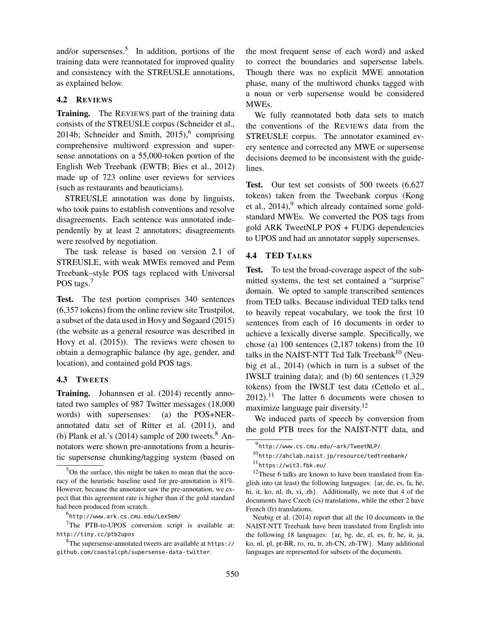and/or supersenses.<sup>5</sup> In addition, portions of the training data were reannotated for improved quality and consistency with the STREUSLE annotations, as explained below.

## 4.2 REVIEWS

Training. The REVIEWS part of the training data consists of the STREUSLE corpus (Schneider et al., 2014b; Schneider and Smith,  $2015$ ,  $6$  comprising comprehensive multiword expression and supersense annotations on a 55,000-token portion of the English Web Treebank (EWTB; Bies et al., 2012) made up of 723 online user reviews for services (such as restaurants and beauticians).

STREUSLE annotation was done by linguists, who took pains to establish conventions and resolve disagreements. Each sentence was annotated independently by at least 2 annotators; disagreements were resolved by negotiation.

The task release is based on version 2.1 of STREUSLE, with weak MWEs removed and Penn Treebank–style POS tags replaced with Universal POS tags.<sup>7</sup>

Test. The test portion comprises 340 sentences (6,357 tokens) from the online review site Trustpilot, a subset of the data used in Hovy and Søgaard (2015) (the website as a general resource was described in Hovy et al. (2015)). The reviews were chosen to obtain a demographic balance (by age, gender, and location), and contained gold POS tags.

## 4.3 TWEETS

Training. Johannsen et al. (2014) recently annotated two samples of 987 Twitter messages (18,000 words) with supersenses: (a) the POS+NERannotated data set of Ritter et al. (2011), and (b) Plank et al.'s  $(2014)$  sample of 200 tweets.<sup>8</sup> Annotators were shown pre-annotations from a heuristic supersense chunking/tagging system (based on the most frequent sense of each word) and asked to correct the boundaries and supersense labels. Though there was no explicit MWE annotation phase, many of the multiword chunks tagged with a noun or verb supersense would be considered MWEs.

We fully reannotated both data sets to match the conventions of the REVIEWS data from the STREUSLE corpus. The annotator examined every sentence and corrected any MWE or supersense decisions deemed to be inconsistent with the guidelines.

Test. Our test set consists of 500 tweets  $(6,627)$ tokens) taken from the Tweebank corpus (Kong et al.,  $2014$ , which already contained some goldstandard MWEs. We converted the POS tags from gold ARK TweetNLP POS + FUDG dependencies to UPOS and had an annotator supply supersenses.

# 4.4 TED TALKS

Test. To test the broad-coverage aspect of the submitted systems, the test set contained a "surprise" domain. We opted to sample transcribed sentences from TED talks. Because individual TED talks tend to heavily repeat vocabulary, we took the first 10 sentences from each of 16 documents in order to achieve a lexically diverse sample. Specifically, we chose (a) 100 sentences (2,187 tokens) from the 10 talks in the NAIST-NTT Ted Talk Treebank<sup>10</sup> (Neubig et al., 2014) (which in turn is a subset of the IWSLT training data); and (b) 60 sentences (1,329 tokens) from the IWSLT test data (Cettolo et al.,  $2012$ ).<sup>11</sup> The latter 6 documents were chosen to maximize language pair diversity.<sup>12</sup>

We induced parts of speech by conversion from the gold PTB trees for the NAIST-NTT data, and

<sup>5</sup>On the surface, this might be taken to mean that the accuracy of the heuristic baseline used for pre-annotation is 81%. However, because the annotator saw the pre-annotation, we expect that this agreement rate is higher than if the gold standard had been produced from scratch.

<sup>6</sup> http://www.ark.cs.cmu.edu/LexSem/

 $7$ The PTB-to-UPOS conversion script is available at: http://tiny.cc/ptb2upos

<sup>8</sup>The supersense-annotated tweets are available at https:// github.com/coastalcph/supersense-data-twitter.

<sup>&</sup>lt;sup>9</sup>http://www.cs.cmu.edu/~ark/TweetNLP/

 $^{10}$ http://ahclab.naist.jp/resource/tedtreebank/

 $^{11}$ https://wit3.fbk.eu/

<sup>&</sup>lt;sup>12</sup>These 6 talks are known to have been translated from English into (at least) the following languages: {ar, de, es, fa, he, hi, it, ko, nl, th, vi, zh}. Additionally, we note that 4 of the documents have Czech (cs) translations, while the other 2 have French (fr) translations.

Neubig et al. (2014) report that all the 10 documents in the NAIST-NTT Treebank have been translated from English into the following 18 languages: {ar, bg, de, el, es, fr, he, it, ja, ko, nl, pl, pt-BR, ro, ru, tr, zh-CN, zh-TW}. Many additional languages are represented for subsets of the documents.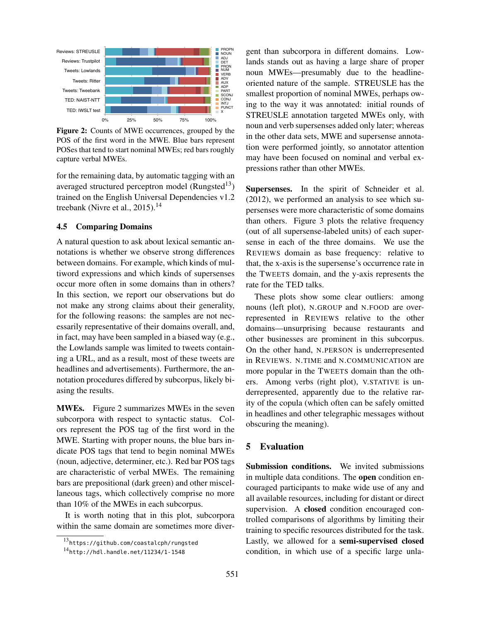

Figure 2: Counts of MWE occurrences, grouped by the POS of the first word in the MWE. Blue bars represent POSes that tend to start nominal MWEs; red bars roughly capture verbal MWEs.

for the remaining data, by automatic tagging with an averaged structured perceptron model (Rungsted<sup>13</sup>) trained on the English Universal Dependencies v1.2 treebank (Nivre et al., 2015).<sup>14</sup>

## 4.5 Comparing Domains

A natural question to ask about lexical semantic annotations is whether we observe strong differences between domains. For example, which kinds of multiword expressions and which kinds of supersenses occur more often in some domains than in others? In this section, we report our observations but do not make any strong claims about their generality, for the following reasons: the samples are not necessarily representative of their domains overall, and, in fact, may have been sampled in a biased way (e.g., the Lowlands sample was limited to tweets containing a URL, and as a result, most of these tweets are headlines and advertisements). Furthermore, the annotation procedures differed by subcorpus, likely biasing the results.

subcorpora with respect to syntactic status. Col-MWEs. Figure 2 summarizes MWEs in the seven ors represent the POS tag of the first word in the MWE. Starting with proper nouns, the blue bars indicate POS tags that tend to begin nominal MWEs (noun, adjective, determiner, etc.). Red bar POS tags are characteristic of verbal MWEs. The remaining bars are prepositional (dark green) and other miscellaneous tags, which collectively comprise no more than 10% of the MWEs in each subcorpus.

It is worth noting that in this plot, subcorpora within the same domain are sometimes more divergent than subcorpora in different domains. Lowlands stands out as having a large share of proper noun MWEs—presumably due to the headlineoriented nature of the sample. STREUSLE has the smallest proportion of nominal MWEs, perhaps owing to the way it was annotated: initial rounds of STREUSLE annotation targeted MWEs only, with noun and verb supersenses added only later; whereas in the other data sets, MWE and supersense annotation were performed jointly, so annotator attention may have been focused on nominal and verbal expressions rather than other MWEs.

Supersenses. In the spirit of Schneider et al. (2012), we performed an analysis to see which supersenses were more characteristic of some domains than others. Figure 3 plots the relative frequency (out of all supersense-labeled units) of each supersense in each of the three domains. We use the REVIEWS domain as base frequency: relative to that, the x-axis is the supersense's occurrence rate in the TWEETS domain, and the y-axis represents the rate for the TED talks.

These plots show some clear outliers: among nouns (left plot), N.GROUP and N.FOOD are overrepresented in REVIEWS relative to the other domains—unsurprising because restaurants and other businesses are prominent in this subcorpus. On the other hand, N.PERSON is underrepresented in REVIEWS. N.TIME and N.COMMUNICATION are more popular in the TWEETS domain than the others. Among verbs (right plot), V.STATIVE is underrepresented, apparently due to the relative rarity of the copula (which often can be safely omitted in headlines and other telegraphic messages without obscuring the meaning).

## 5 Evaluation

Submission conditions. We invited submissions in multiple data conditions. The open condition encouraged participants to make wide use of any and all available resources, including for distant or direct supervision. A closed condition encouraged controlled comparisons of algorithms by limiting their training to specific resources distributed for the task. Lastly, we allowed for a semi-supervised closed condition, in which use of a specific large unla-

<sup>13</sup>https://github.com/coastalcph/rungsted

 $14$ http://hdl.handle.net/11234/1-1548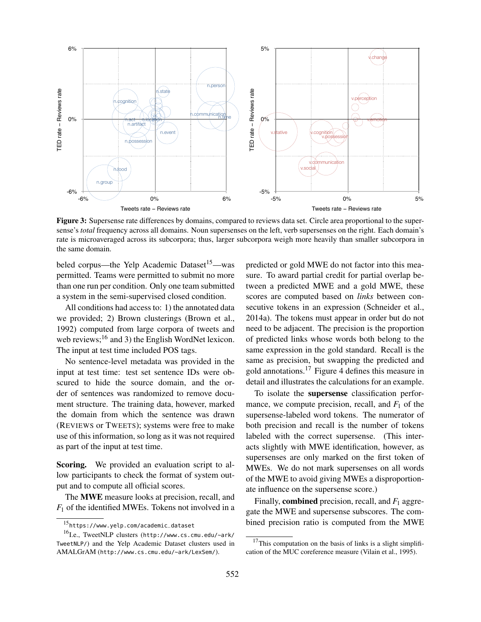

Figure 3: Supersense rate differences by domains, compared to reviews data set. Circle area proportional to the supersense's *total* frequency across all domains. Noun supersenses on the left, verb supersenses on the right. Each domain's rate is microaveraged across its subcorpora; thus, larger subcorpora weigh more heavily than smaller subcorpora in the same domain.

beled corpus—the Yelp Academic Dataset<sup>15</sup>—was permitted. Teams were permitted to submit no more than one run per condition. Only one team submitted a system in the semi-supervised closed condition.

All conditions had access to: 1) the annotated data we provided; 2) Brown clusterings (Brown et al., 1992) computed from large corpora of tweets and web reviews; $^{16}$  and 3) the English WordNet lexicon. The input at test time included POS tags.

No sentence-level metadata was provided in the input at test time: test set sentence IDs were obscured to hide the source domain, and the order of sentences was randomized to remove document structure. The training data, however, marked the domain from which the sentence was drawn (REVIEWS or TWEETS); systems were free to make use of this information, so long as it was not required as part of the input at test time.

Scoring. We provided an evaluation script to allow participants to check the format of system output and to compute all official scores.

The MWE measure looks at precision, recall, and *F*<sup>1</sup> of the identified MWEs. Tokens not involved in a predicted or gold MWE do not factor into this measure. To award partial credit for partial overlap between a predicted MWE and a gold MWE, these scores are computed based on *links* between consecutive tokens in an expression (Schneider et al., 2014a). The tokens must appear in order but do not need to be adjacent. The precision is the proportion of predicted links whose words both belong to the same expression in the gold standard. Recall is the same as precision, but swapping the predicted and gold annotations.<sup>17</sup> Figure 4 defines this measure in detail and illustrates the calculations for an example.

To isolate the supersense classification performance, we compute precision, recall, and  $F_1$  of the supersense-labeled word tokens. The numerator of both precision and recall is the number of tokens labeled with the correct supersense. (This interacts slightly with MWE identification, however, as supersenses are only marked on the first token of MWEs. We do not mark supersenses on all words of the MWE to avoid giving MWEs a disproportionate influence on the supersense score.)

Finally, **combined** precision, recall, and  $F_1$  aggregate the MWE and supersense subscores. The combined precision ratio is computed from the MWE

<sup>15</sup>https://www.yelp.com/academic\_dataset

<sup>16&</sup>lt;sub>I.e.,</sub> TweetNLP clusters (http://www.cs.cmu.edu/~ark/ TweetNLP/) and the Yelp Academic Dataset clusters used in AMALGrAM (http://www.cs.cmu.edu/~ark/LexSem/).

 $17$ This computation on the basis of links is a slight simplification of the MUC coreference measure (Vilain et al., 1995).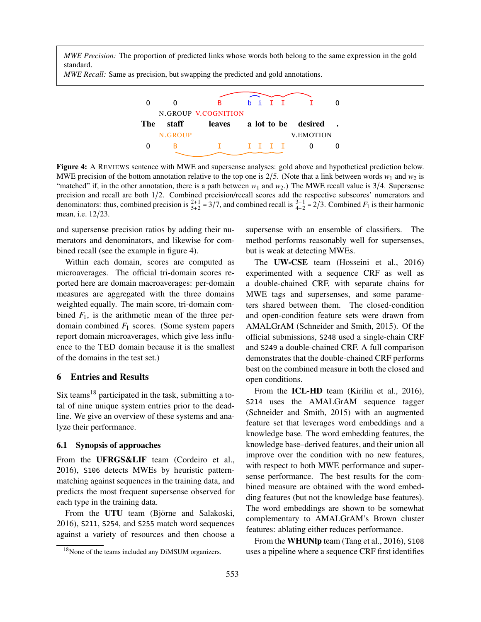*MWE Precision:* The proportion of predicted links whose words both belong to the same expression in the gold standard.

*MWE Recall:* Same as precision, but swapping the predicted and gold annotations.



Figure 4: A REVIEWS sentence with MWE and supersense analyses: gold above and hypothetical prediction below. MWE precision of the bottom annotation relative to the top one is 2/5. (Note that a link between words  $w_1$  and  $w_2$  is "matched" if, in the other annotation, there is a path between  $w_1$  and  $w_2$ .) The MWE recall value is 3/4. Supersense precision and recall are both 1/2. Combined precision/recall scores add the respective subscores' numerators and denominators: thus, combined precision is  $\frac{2+1}{5+2} = 3/7$ , and combined recall is  $\frac{3+1}{4+2} = 2/3$ . Combined  $F_1$  is their harmonic mean, i.e. 12/23.

and supersense precision ratios by adding their numerators and denominators, and likewise for combined recall (see the example in figure 4).

Within each domain, scores are computed as microaverages. The official tri-domain scores reported here are domain macroaverages: per-domain measures are aggregated with the three domains weighted equally. The main score, tri-domain combined  $F_1$ , is the arithmetic mean of the three perdomain combined *F*<sup>1</sup> scores. (Some system papers report domain microaverages, which give less influence to the TED domain because it is the smallest of the domains in the test set.)

## 6 Entries and Results

Six teams<sup>18</sup> participated in the task, submitting a total of nine unique system entries prior to the deadline. We give an overview of these systems and analyze their performance.

#### 6.1 Synopsis of approaches

From the **UFRGS&LIF** team (Cordeiro et al., 2016), S106 detects MWEs by heuristic patternmatching against sequences in the training data, and predicts the most frequent supersense observed for each type in the training data.

From the UTU team (Björne and Salakoski, 2016), S211, S254, and S255 match word sequences against a variety of resources and then choose a

supersense with an ensemble of classifiers. The method performs reasonably well for supersenses, but is weak at detecting MWEs.

The UW-CSE team (Hosseini et al., 2016) experimented with a sequence CRF as well as a double-chained CRF, with separate chains for MWE tags and supersenses, and some parameters shared between them. The closed-condition and open-condition feature sets were drawn from AMALGrAM (Schneider and Smith, 2015). Of the official submissions, S248 used a single-chain CRF and S249 a double-chained CRF. A full comparison demonstrates that the double-chained CRF performs best on the combined measure in both the closed and open conditions.

From the **ICL-HD** team (Kirilin et al., 2016), S214 uses the AMALGrAM sequence tagger (Schneider and Smith, 2015) with an augmented feature set that leverages word embeddings and a knowledge base. The word embedding features, the knowledge base–derived features, and their union all improve over the condition with no new features, with respect to both MWE performance and supersense performance. The best results for the combined measure are obtained with the word embedding features (but not the knowledge base features). The word embeddings are shown to be somewhat complementary to AMALGrAM's Brown cluster features: ablating either reduces performance.

From the **WHUNlp** team (Tang et al., 2016), \$108 uses a pipeline where a sequence CRF first identifies

<sup>&</sup>lt;sup>18</sup>None of the teams included any DiMSUM organizers.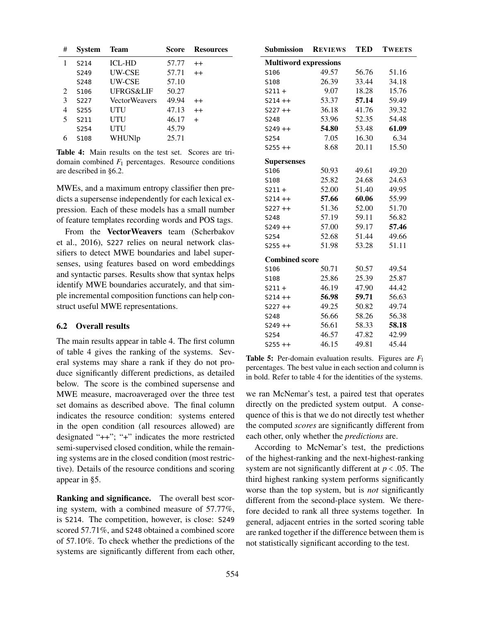| # | <b>System</b> | <b>Team</b>          | Score | <b>Resources</b> |
|---|---------------|----------------------|-------|------------------|
|   | S214          | <b>ICL-HD</b>        | 57.77 | $^{++}$          |
|   | S249          | <b>UW-CSE</b>        | 57.71 | $^{++}$          |
|   | S248          | <b>UW-CSE</b>        | 57.10 |                  |
| 2 | S106          | UFRGS&LIF            | 50.27 |                  |
| 3 | S227          | <b>VectorWeavers</b> | 49.94 | $^{++}$          |
| 4 | S255          | UTU                  | 47.13 | $^{++}$          |
| 5 | S211          | UTU                  | 46.17 | $\div$           |
|   | S254          | UTU                  | 45.79 |                  |
|   | S108          | WHUNlp               | 25.71 |                  |

Table 4: Main results on the test set. Scores are tridomain combined  $F_1$  percentages. Resource conditions are described in §6.2.

MWEs, and a maximum entropy classifier then predicts a supersense independently for each lexical expression. Each of these models has a small number of feature templates recording words and POS tags.

From the VectorWeavers team (Scherbakov et al., 2016), S227 relies on neural network classifiers to detect MWE boundaries and label supersenses, using features based on word embeddings and syntactic parses. Results show that syntax helps identify MWE boundaries accurately, and that simple incremental composition functions can help construct useful MWE representations.

## 6.2 Overall results

The main results appear in table 4. The first column of table 4 gives the ranking of the systems. Several systems may share a rank if they do not produce significantly different predictions, as detailed below. The score is the combined supersense and MWE measure, macroaveraged over the three test set domains as described above. The final column indicates the resource condition: systems entered in the open condition (all resources allowed) are designated "++"; "+" indicates the more restricted semi-supervised closed condition, while the remaining systems are in the closed condition (most restrictive). Details of the resource conditions and scoring appear in §5.

Ranking and significance. The overall best scoring system, with a combined measure of 57.77%, is S214. The competition, however, is close: S249 scored 57.71%, and S248 obtained a combined score of 57.10%. To check whether the predictions of the systems are significantly different from each other,

| <b>Submission</b>            | <b>REVIEWS</b> | <b>TED</b> | <b>TWEETS</b> |  |  |  |  |
|------------------------------|----------------|------------|---------------|--|--|--|--|
| <b>Multiword expressions</b> |                |            |               |  |  |  |  |
| S106                         | 49.57          | 56.76      | 51.16         |  |  |  |  |
| S108                         | 26.39          | 33.44      | 34.18         |  |  |  |  |
| $S211 +$                     | 9.07           | 18.28      | 15.76         |  |  |  |  |
| $S214 + +$                   | 53.37          | 57.14      | 59.49         |  |  |  |  |
| $S227 ++$                    | 36.18          | 41.76      | 39.32         |  |  |  |  |
| S248                         | 53.96          | 52.35      | 54.48         |  |  |  |  |
| $S249 + +$                   | 54.80          | 53.48      | 61.09         |  |  |  |  |
| S254                         | 7.05           | 16.30      | 6.34          |  |  |  |  |
| $S255 + +$                   | 8.68           | 20.11      | 15.50         |  |  |  |  |
| <b>Supersenses</b>           |                |            |               |  |  |  |  |
| S106                         | 50.93          | 49.61      | 49.20         |  |  |  |  |
| S108                         | 25.82          | 24.68      | 24.63         |  |  |  |  |
| $S211 +$                     | 52.00          | 51.40      | 49.95         |  |  |  |  |
| $S214 + +$                   | 57.66          | 60.06      | 55.99         |  |  |  |  |
| $S227 ++$                    | 51.36          | 52.00      | 51.70         |  |  |  |  |
| <b>S248</b>                  | 57.19          | 59.11      | 56.82         |  |  |  |  |
| $S249 + +$                   | 57.00          | 59.17      | 57.46         |  |  |  |  |
| S254                         | 52.68          | 51.44      | 49.66         |  |  |  |  |
| $S255 + +$                   | 51.98          | 53.28      | 51.11         |  |  |  |  |
| <b>Combined score</b>        |                |            |               |  |  |  |  |
| S106                         | 50.71          | 50.57      | 49.54         |  |  |  |  |
| S108                         | 25.86          | 25.39      | 25.87         |  |  |  |  |
| $S211 +$                     | 46.19          | 47.90      | 44.42         |  |  |  |  |
| $S214 + +$                   | 56.98          | 59.71      | 56.63         |  |  |  |  |
| $S227 ++$                    | 49.25          | 50.82      | 49.74         |  |  |  |  |
| S248                         | 56.66          | 58.26      | 56.38         |  |  |  |  |
| $S249 + +$                   | 56.61          | 58.33      | 58.18         |  |  |  |  |
| S254                         | 46.57          | 47.82      | 42.99         |  |  |  |  |
| $S255 + +$                   | 46.15          | 49.81      | 45.44         |  |  |  |  |

Table 5: Per-domain evaluation results. Figures are *F*<sup>1</sup> percentages. The best value in each section and column is in bold. Refer to table 4 for the identities of the systems.

we ran McNemar's test, a paired test that operates directly on the predicted system output. A consequence of this is that we do not directly test whether the computed *scores* are significantly different from each other, only whether the *predictions* are.

According to McNemar's test, the predictions of the highest-ranking and the next-highest-ranking system are not significantly different at *p* < .05. The third highest ranking system performs significantly worse than the top system, but is *not* significantly different from the second-place system. We therefore decided to rank all three systems together. In general, adjacent entries in the sorted scoring table are ranked together if the difference between them is not statistically significant according to the test.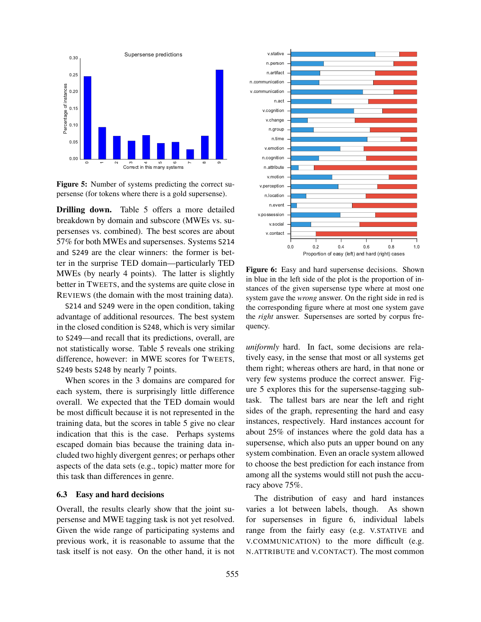

Figure 5: Number of systems predicting the correct supersense (for tokens where there is a gold supersense).

Drilling down. Table 5 offers a more detailed breakdown by domain and subscore (MWEs vs. supersenses vs. combined). The best scores are about 57% for both MWEs and supersenses. Systems S214 and S249 are the clear winners: the former is better in the surprise TED domain—particularly TED MWEs (by nearly 4 points). The latter is slightly better in TWEETS, and the systems are quite close in REVIEWS (the domain with the most training data).

S214 and S249 were in the open condition, taking advantage of additional resources. The best system in the closed condition is S248, which is very similar to S249—and recall that its predictions, overall, are not statistically worse. Table 5 reveals one striking difference, however: in MWE scores for TWEETS, S249 bests S248 by nearly 7 points.

When scores in the 3 domains are compared for each system, there is surprisingly little difference overall. We expected that the TED domain would be most difficult because it is not represented in the training data, but the scores in table 5 give no clear indication that this is the case. Perhaps systems escaped domain bias because the training data included two highly divergent genres; or perhaps other aspects of the data sets (e.g., topic) matter more for this task than differences in genre.

#### 6.3 Easy and hard decisions

Overall, the results clearly show that the joint supersense and MWE tagging task is not yet resolved. Given the wide range of participating systems and previous work, it is reasonable to assume that the task itself is not easy. On the other hand, it is not



Figure 6: Easy and hard supersense decisions. Shown in blue in the left side of the plot is the proportion of instances of the given supersense type where at most one system gave the *wrong* answer. On the right side in red is the corresponding figure where at most one system gave the *right* answer. Supersenses are sorted by corpus frequency.

*uniformly* hard. In fact, some decisions are relatively easy, in the sense that most or all systems get them right; whereas others are hard, in that none or very few systems produce the correct answer. Figure 5 explores this for the supersense-tagging subtask. The tallest bars are near the left and right sides of the graph, representing the hard and easy instances, respectively. Hard instances account for about 25% of instances where the gold data has a supersense, which also puts an upper bound on any system combination. Even an oracle system allowed to choose the best prediction for each instance from among all the systems would still not push the accuracy above 75%.

The distribution of easy and hard instances varies a lot between labels, though. As shown for supersenses in figure 6, individual labels range from the fairly easy (e.g. V.STATIVE and V.COMMUNICATION) to the more difficult (e.g. N.ATTRIBUTE and V.CONTACT). The most common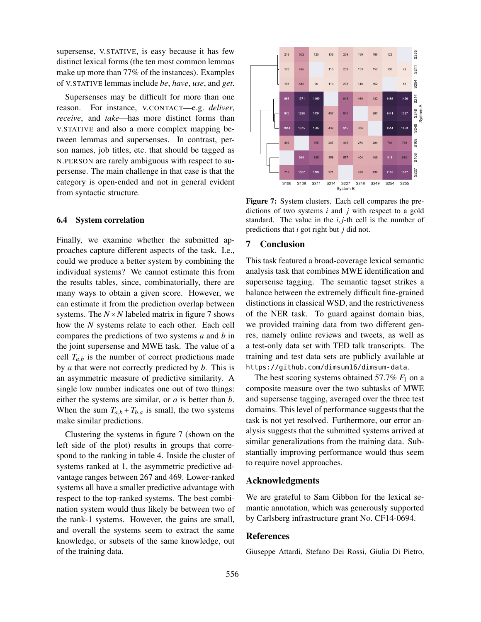supersense, V.STATIVE, is easy because it has few distinct lexical forms (the ten most common lemmas make up more than 77% of the instances). Examples of V.STATIVE lemmas include *be*, *have*, *use*, and *get*.

Supersenses may be difficult for more than one reason. For instance, V.CONTACT—e.g. *deliver*, *receive*, and *take*—has more distinct forms than V.STATIVE and also a more complex mapping between lemmas and supersenses. In contrast, person names, job titles, etc. that should be tagged as N.PERSON are rarely ambiguous with respect to supersense. The main challenge in that case is that the category is open-ended and not in general evident from syntactic structure.

#### 6.4 System correlation

Finally, we examine whether the submitted approaches capture different aspects of the task. I.e., could we produce a better system by combining the individual systems? We cannot estimate this from the results tables, since, combinatorially, there are many ways to obtain a given score. However, we can estimate it from the prediction overlap between systems. The  $N \times N$  labeled matrix in figure 7 shows how the *N* systems relate to each other. Each cell compares the predictions of two systems *a* and *b* in the joint supersense and MWE task. The value of a cell  $T_{a,b}$  is the number of correct predictions made by *a* that were not correctly predicted by *b*. This is an asymmetric measure of predictive similarity. A single low number indicates one out of two things: either the systems are similar, or *a* is better than *b*. When the sum  $T_{a,b} + T_{b,a}$  is small, the two systems make similar predictions.

Clustering the systems in figure 7 (shown on the left side of the plot) results in groups that correspond to the ranking in table 4. Inside the cluster of systems ranked at 1, the asymmetric predictive advantage ranges between 267 and 469. Lower-ranked systems all have a smaller predictive advantage with respect to the top-ranked systems. The best combination system would thus likely be between two of the rank-1 systems. However, the gains are small, and overall the systems seem to extract the same knowledge, or subsets of the same knowledge, out of the training data.



Figure 7: System clusters. Each cell compares the predictions of two systems *i* and *j* with respect to a gold standard. The value in the  $i, j$ -th cell is the number of predictions that *i* got right but *j* did not.

#### 7 Conclusion

This task featured a broad-coverage lexical semantic analysis task that combines MWE identification and supersense tagging. The semantic tagset strikes a balance between the extremely difficult fine-grained distinctions in classical WSD, and the restrictiveness of the NER task. To guard against domain bias, we provided training data from two different genres, namely online reviews and tweets, as well as a test-only data set with TED talk transcripts. The training and test data sets are publicly available at https://github.com/dimsum16/dimsum-data.

The best scoring systems obtained  $57.7\%$   $F_1$  on a composite measure over the two subtasks of MWE and supersense tagging, averaged over the three test domains. This level of performance suggests that the task is not yet resolved. Furthermore, our error analysis suggests that the submitted systems arrived at similar generalizations from the training data. Substantially improving performance would thus seem to require novel approaches.

#### Acknowledgments

We are grateful to Sam Gibbon for the lexical semantic annotation, which was generously supported by Carlsberg infrastructure grant No. CF14-0694.

#### References

Giuseppe Attardi, Stefano Dei Rossi, Giulia Di Pietro,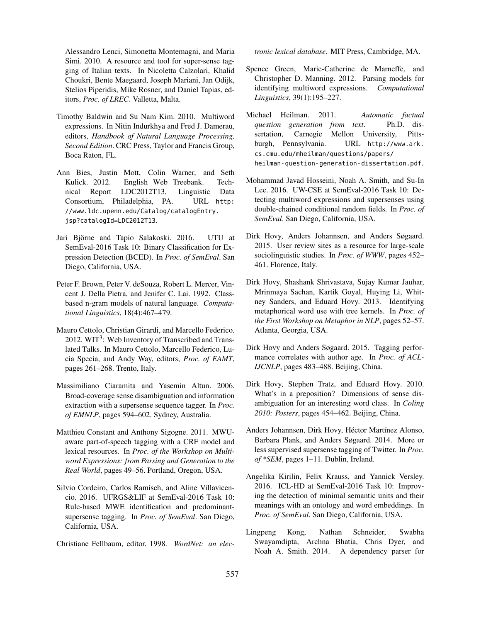Alessandro Lenci, Simonetta Montemagni, and Maria Simi. 2010. A resource and tool for super-sense tagging of Italian texts. In Nicoletta Calzolari, Khalid Choukri, Bente Maegaard, Joseph Mariani, Jan Odijk, Stelios Piperidis, Mike Rosner, and Daniel Tapias, editors, *Proc. of LREC*. Valletta, Malta.

- Timothy Baldwin and Su Nam Kim. 2010. Multiword expressions. In Nitin Indurkhya and Fred J. Damerau, editors, *Handbook of Natural Language Processing, Second Edition*. CRC Press, Taylor and Francis Group, Boca Raton, FL.
- Ann Bies, Justin Mott, Colin Warner, and Seth Kulick. 2012. English Web Treebank. Technical Report LDC2012T13, Linguistic Data Consortium, Philadelphia, PA. URL http: //www.ldc.upenn.edu/Catalog/catalogEntry. jsp?catalogId=LDC2012T13.
- Jari Björne and Tapio Salakoski. 2016. UTU at SemEval-2016 Task 10: Binary Classification for Expression Detection (BCED). In *Proc. of SemEval*. San Diego, California, USA.
- Peter F. Brown, Peter V. deSouza, Robert L. Mercer, Vincent J. Della Pietra, and Jenifer C. Lai. 1992. Classbased n-gram models of natural language. *Computational Linguistics*, 18(4):467–479.
- Mauro Cettolo, Christian Girardi, and Marcello Federico. 2012. WIT<sup>3</sup>: Web Inventory of Transcribed and Translated Talks. In Mauro Cettolo, Marcello Federico, Lucia Specia, and Andy Way, editors, *Proc. of EAMT*, pages 261–268. Trento, Italy.
- Massimiliano Ciaramita and Yasemin Altun. 2006. Broad-coverage sense disambiguation and information extraction with a supersense sequence tagger. In *Proc. of EMNLP*, pages 594–602. Sydney, Australia.
- Matthieu Constant and Anthony Sigogne. 2011. MWUaware part-of-speech tagging with a CRF model and lexical resources. In *Proc. of the Workshop on Multiword Expressions: from Parsing and Generation to the Real World*, pages 49–56. Portland, Oregon, USA.
- Silvio Cordeiro, Carlos Ramisch, and Aline Villavicencio. 2016. UFRGS&LIF at SemEval-2016 Task 10: Rule-based MWE identification and predominantsupersense tagging. In *Proc. of SemEval*. San Diego, California, USA.

Christiane Fellbaum, editor. 1998. *WordNet: an elec-*

*tronic lexical database*. MIT Press, Cambridge, MA.

- Spence Green, Marie-Catherine de Marneffe, and Christopher D. Manning. 2012. Parsing models for identifying multiword expressions. *Computational Linguistics*, 39(1):195–227.
- Michael Heilman. 2011. *Automatic factual question generation from text*. Ph.D. dissertation, Carnegie Mellon University, Pittsburgh, Pennsylvania. URL http://www.ark. cs.cmu.edu/mheilman/questions/papers/ heilman-question-generation-dissertation.pdf.
- Mohammad Javad Hosseini, Noah A. Smith, and Su-In Lee. 2016. UW-CSE at SemEval-2016 Task 10: Detecting multiword expressions and supersenses using double-chained conditional random fields. In *Proc. of SemEval*. San Diego, California, USA.
- Dirk Hovy, Anders Johannsen, and Anders Søgaard. 2015. User review sites as a resource for large-scale sociolinguistic studies. In *Proc. of WWW*, pages 452– 461. Florence, Italy.
- Dirk Hovy, Shashank Shrivastava, Sujay Kumar Jauhar, Mrinmaya Sachan, Kartik Goyal, Huying Li, Whitney Sanders, and Eduard Hovy. 2013. Identifying metaphorical word use with tree kernels. In *Proc. of the First Workshop on Metaphor in NLP*, pages 52–57. Atlanta, Georgia, USA.
- Dirk Hovy and Anders Søgaard. 2015. Tagging performance correlates with author age. In *Proc. of ACL-IJCNLP*, pages 483–488. Beijing, China.
- Dirk Hovy, Stephen Tratz, and Eduard Hovy. 2010. What's in a preposition? Dimensions of sense disambiguation for an interesting word class. In *Coling 2010: Posters*, pages 454–462. Beijing, China.
- Anders Johannsen, Dirk Hovy, Héctor Martínez Alonso, Barbara Plank, and Anders Søgaard. 2014. More or less supervised supersense tagging of Twitter. In *Proc. of \*SEM*, pages 1–11. Dublin, Ireland.
- Angelika Kirilin, Felix Krauss, and Yannick Versley. 2016. ICL-HD at SemEval-2016 Task 10: Improving the detection of minimal semantic units and their meanings with an ontology and word embeddings. In *Proc. of SemEval*. San Diego, California, USA.
- Lingpeng Kong, Nathan Schneider, Swabha Swayamdipta, Archna Bhatia, Chris Dyer, and Noah A. Smith. 2014. A dependency parser for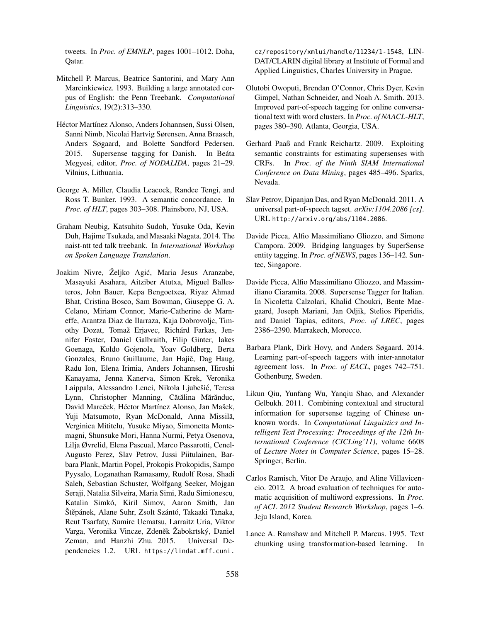tweets. In *Proc. of EMNLP*, pages 1001–1012. Doha, Qatar.

- Mitchell P. Marcus, Beatrice Santorini, and Mary Ann Marcinkiewicz. 1993. Building a large annotated corpus of English: the Penn Treebank. *Computational Linguistics*, 19(2):313–330.
- Héctor Martínez Alonso, Anders Johannsen, Sussi Olsen, Sanni Nimb, Nicolai Hartvig Sørensen, Anna Braasch, Anders Søgaard, and Bolette Sandford Pedersen. 2015. Supersense tagging for Danish. In Beáta Megyesi, editor, *Proc. of NODALIDA*, pages 21–29. Vilnius, Lithuania.
- George A. Miller, Claudia Leacock, Randee Tengi, and Ross T. Bunker. 1993. A semantic concordance. In *Proc. of HLT*, pages 303–308. Plainsboro, NJ, USA.
- Graham Neubig, Katsuhito Sudoh, Yusuke Oda, Kevin Duh, Hajime Tsukada, and Masaaki Nagata. 2014. The naist-ntt ted talk treebank. In *International Workshop on Spoken Language Translation*.
- Joakim Nivre, Željko Agic, Maria Jesus Aranzabe, ´ Masayuki Asahara, Aitziber Atutxa, Miguel Ballesteros, John Bauer, Kepa Bengoetxea, Riyaz Ahmad Bhat, Cristina Bosco, Sam Bowman, Giuseppe G. A. Celano, Miriam Connor, Marie-Catherine de Marneffe, Arantza Diaz de Ilarraza, Kaja Dobrovoljc, Timothy Dozat, Tomaž Erjavec, Richárd Farkas, Jennifer Foster, Daniel Galbraith, Filip Ginter, Iakes Goenaga, Koldo Gojenola, Yoav Goldberg, Berta Gonzales, Bruno Guillaume, Jan Hajič, Dag Haug, Radu Ion, Elena Irimia, Anders Johannsen, Hiroshi Kanayama, Jenna Kanerva, Simon Krek, Veronika Laippala, Alessandro Lenci, Nikola Ljubešic, Teresa ´ Lynn, Christopher Manning, Cătălina Mărănduc, David Mareček, Héctor Martínez Alonso, Jan Mašek, Yuji Matsumoto, Ryan McDonald, Anna Missilä, Verginica Mititelu, Yusuke Miyao, Simonetta Montemagni, Shunsuke Mori, Hanna Nurmi, Petya Osenova, Lilja Øvrelid, Elena Pascual, Marco Passarotti, Cenel-Augusto Perez, Slav Petrov, Jussi Piitulainen, Barbara Plank, Martin Popel, Prokopis Prokopidis, Sampo Pyysalo, Loganathan Ramasamy, Rudolf Rosa, Shadi Saleh, Sebastian Schuster, Wolfgang Seeker, Mojgan Seraji, Natalia Silveira, Maria Simi, Radu Simionescu, Katalin Simkó, Kiril Simov, Aaron Smith, Jan Štěpánek, Alane Suhr, Zsolt Szántó, Takaaki Tanaka, Reut Tsarfaty, Sumire Uematsu, Larraitz Uria, Viktor Varga, Veronika Vincze, Zdeněk Žabokrtský, Daniel Zeman, and Hanzhi Zhu. 2015. Universal Dependencies 1.2. URL https://lindat.mff.cuni.

cz/repository/xmlui/handle/11234/1-1548, LIN-DAT/CLARIN digital library at Institute of Formal and Applied Linguistics, Charles University in Prague.

- Olutobi Owoputi, Brendan O'Connor, Chris Dyer, Kevin Gimpel, Nathan Schneider, and Noah A. Smith. 2013. Improved part-of-speech tagging for online conversational text with word clusters. In *Proc. of NAACL-HLT*, pages 380–390. Atlanta, Georgia, USA.
- Gerhard Paaß and Frank Reichartz. 2009. Exploiting semantic constraints for estimating supersenses with CRFs. In *Proc. of the Ninth SIAM International Conference on Data Mining*, pages 485–496. Sparks, Nevada.
- Slav Petrov, Dipanjan Das, and Ryan McDonald. 2011. A universal part-of-speech tagset. *arXiv:1104.2086 [cs]*. URL http://arxiv.org/abs/1104.2086.
- Davide Picca, Alfio Massimiliano Gliozzo, and Simone Campora. 2009. Bridging languages by SuperSense entity tagging. In *Proc. of NEWS*, pages 136–142. Suntec, Singapore.
- Davide Picca, Alfio Massimiliano Gliozzo, and Massimiliano Ciaramita. 2008. Supersense Tagger for Italian. In Nicoletta Calzolari, Khalid Choukri, Bente Maegaard, Joseph Mariani, Jan Odjik, Stelios Piperidis, and Daniel Tapias, editors, *Proc. of LREC*, pages 2386–2390. Marrakech, Morocco.
- Barbara Plank, Dirk Hovy, and Anders Søgaard. 2014. Learning part-of-speech taggers with inter-annotator agreement loss. In *Proc. of EACL*, pages 742–751. Gothenburg, Sweden.
- Likun Qiu, Yunfang Wu, Yanqiu Shao, and Alexander Gelbukh. 2011. Combining contextual and structural information for supersense tagging of Chinese unknown words. In *Computational Linguistics and Intelligent Text Processing: Proceedings of the 12th International Conference (CICLing'11)*, volume 6608 of *Lecture Notes in Computer Science*, pages 15–28. Springer, Berlin.
- Carlos Ramisch, Vitor De Araujo, and Aline Villavicencio. 2012. A broad evaluation of techniques for automatic acquisition of multiword expressions. In *Proc. of ACL 2012 Student Research Workshop*, pages 1–6. Jeju Island, Korea.
- Lance A. Ramshaw and Mitchell P. Marcus. 1995. Text chunking using transformation-based learning. In